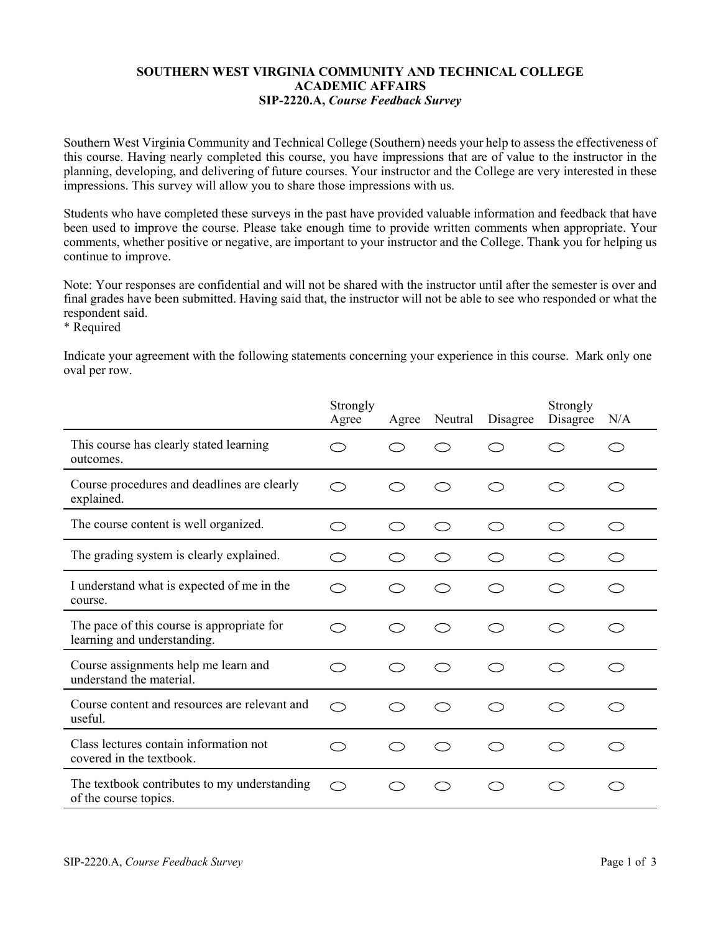## **SOUTHERN WEST VIRGINIA COMMUNITY AND TECHNICAL COLLEGE ACADEMIC AFFAIRS SIP-2220.A,** *Course Feedback Survey*

Southern West Virginia Community and Technical College (Southern) needs your help to assess the effectiveness of this course. Having nearly completed this course, you have impressions that are of value to the instructor in the planning, developing, and delivering of future courses. Your instructor and the College are very interested in these impressions. This survey will allow you to share those impressions with us.

Students who have completed these surveys in the past have provided valuable information and feedback that have been used to improve the course. Please take enough time to provide written comments when appropriate. Your comments, whether positive or negative, are important to your instructor and the College. Thank you for helping us continue to improve.

Note: Your responses are confidential and will not be shared with the instructor until after the semester is over and final grades have been submitted. Having said that, the instructor will not be able to see who responded or what the respondent said.

\* Required

Indicate your agreement with the following statements concerning your experience in this course. Mark only one oval per row.

|                                                                           | Strongly<br>Agree | Agree | Neutral | Disagree  | Strongly<br>Disagree | N/A |
|---------------------------------------------------------------------------|-------------------|-------|---------|-----------|----------------------|-----|
| This course has clearly stated learning<br>outcomes.                      |                   | - 1   |         |           |                      |     |
| Course procedures and deadlines are clearly<br>explained.                 | $\bigcap$         |       |         | C D       | 2                    |     |
| The course content is well organized.                                     | ⌒                 | Ω,    |         | $\bigcap$ | ⌒                    |     |
| The grading system is clearly explained.                                  | ⌒                 |       |         | C D       | : D                  |     |
| I understand what is expected of me in the<br>course.                     | ⌒                 | 2     | - 7     | C D       | 3                    |     |
| The pace of this course is appropriate for<br>learning and understanding. | ⌒                 |       |         |           |                      |     |
| Course assignments help me learn and<br>understand the material.          | $\frown$          | Γ,    |         | $\bigcap$ | $\frown$             |     |
| Course content and resources are relevant and<br>useful.                  | ⌒                 |       |         | ⊂ ⊇       |                      |     |
| Class lectures contain information not<br>covered in the textbook.        |                   |       |         |           |                      |     |
| The textbook contributes to my understanding<br>of the course topics.     | $\bigcap$         |       |         | ⊂ ገ       | 17                   |     |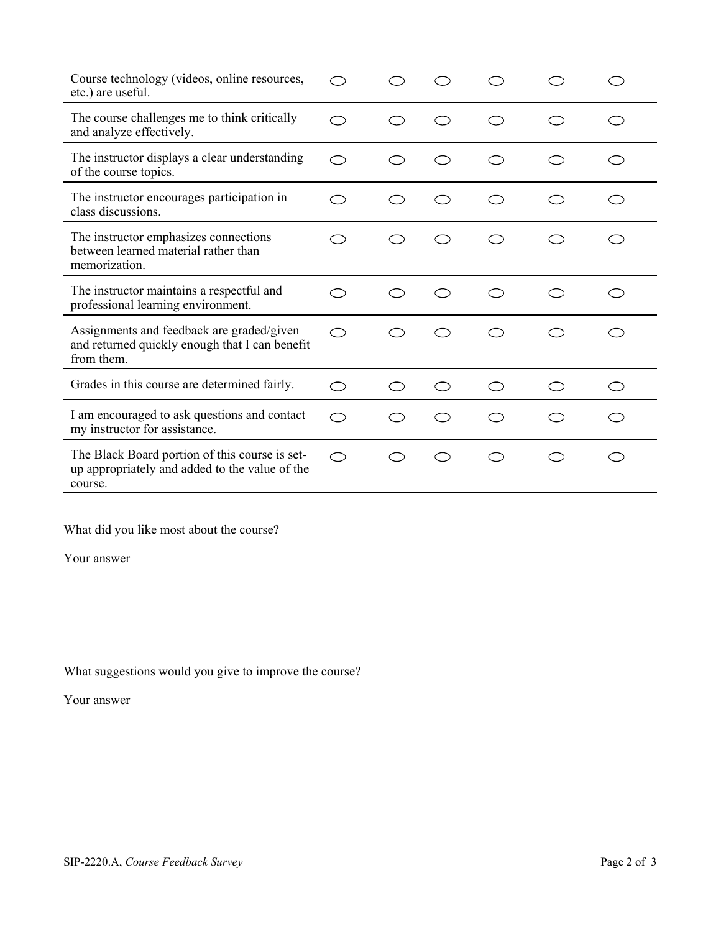| Course technology (videos, online resources,<br>etc.) are useful.                                           |                          |  |  |  |
|-------------------------------------------------------------------------------------------------------------|--------------------------|--|--|--|
| The course challenges me to think critically<br>and analyze effectively.                                    |                          |  |  |  |
| The instructor displays a clear understanding<br>of the course topics.                                      | $\curvearrowleft$        |  |  |  |
| The instructor encourages participation in<br>class discussions.                                            | $\overline{\phantom{1}}$ |  |  |  |
| The instructor emphasizes connections<br>between learned material rather than<br>memorization.              |                          |  |  |  |
| The instructor maintains a respectful and<br>professional learning environment.                             |                          |  |  |  |
| Assignments and feedback are graded/given<br>and returned quickly enough that I can benefit<br>from them.   | ⌒                        |  |  |  |
| Grades in this course are determined fairly.                                                                | $\subset$                |  |  |  |
| I am encouraged to ask questions and contact<br>my instructor for assistance.                               | $\subset$                |  |  |  |
| The Black Board portion of this course is set-<br>up appropriately and added to the value of the<br>course. | ⌒                        |  |  |  |

What did you like most about the course?

Your answer

What suggestions would you give to improve the course?

Your answer